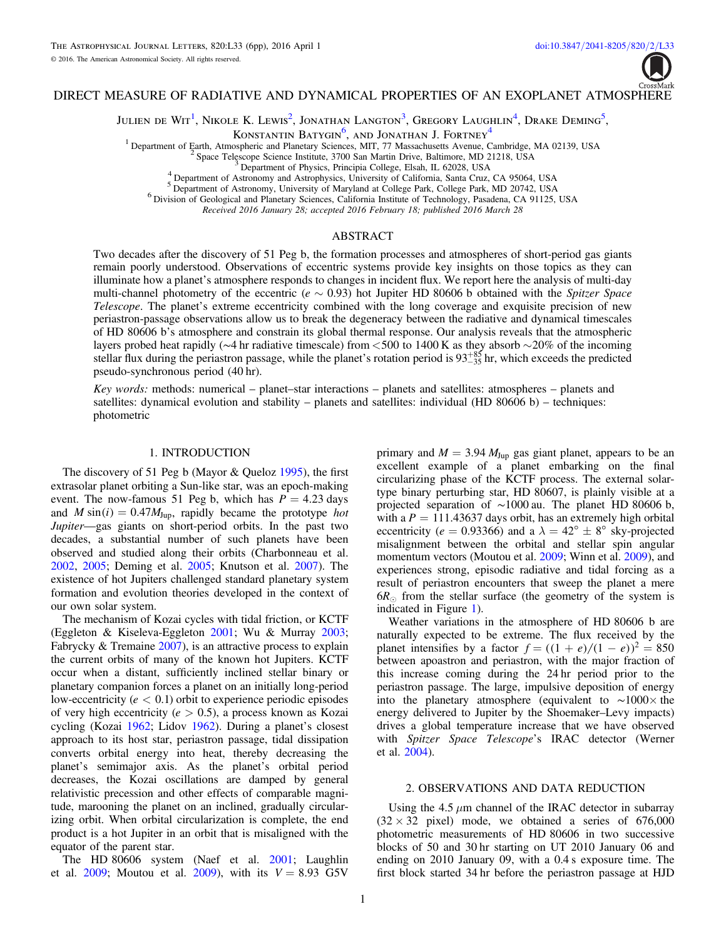

# <span id="page-0-3"></span><span id="page-0-2"></span><span id="page-0-1"></span><span id="page-0-0"></span>DIRECT MEASURE OF RADIATIVE AND DYNAMICAL PROPERTIES OF AN EXOPLANET ATMOSPHERE

Julien de Wit<sup>[1](#page-0-0)</sup>, Nikole K. Lewis<sup>[2](#page-0-1)</sup>, Jonathan Langton<sup>[3](#page-0-2)</sup>, Gregory Laughlin<sup>[4](#page-0-3)</sup>, Drake Deming<sup>[5](#page-0-4)</sup>,

Konstantin Batygin<sup>[6](#page-0-5)</sup>, and Jonathan J. Fortney<sup>[4](#page-0-3)</sup>

 $\begin{smallmatrix} 1 \end{smallmatrix} \begin{smallmatrix} \text{Department of Earth, Atmospheric and Planetary Sciences, MIT, 77 Massachusetts Avenue, Cambridge, MA 02139, USA \\ 2 \end{smallmatrix} \begin{smallmatrix} 2 \end{smallmatrix} \begin{smallmatrix} 5 \end{smallmatrix} \begin{smallmatrix} 5 \end{smallmatrix} \begin{smallmatrix} 2 \end{smallmatrix} \begin{smallmatrix} 2 \end{smallmatrix} \begin{smallmatrix} 2 \end{smallmatrix} \begin{smallmatrix} 2 \end{smallmatrix} \begin{smallmatrix} 2 \end{smallmatrix} \begin{smallmatrix} 2 \end{smallmatrix} \begin{smallmatrix} 2 \end{smallmatrix} \begin{smallmatrix} 2 \end{smallmatrix} \begin{small$ 

Received 2016 January 28; accepted 2016 February 18; published 2016 March 28

# ABSTRACT

<span id="page-0-5"></span><span id="page-0-4"></span>Two decades after the discovery of 51 Peg b, the formation processes and atmospheres of short-period gas giants remain poorly understood. Observations of eccentric systems provide key insights on those topics as they can illuminate how a planet's atmosphere responds to changes in incident flux. We report here the analysis of multi-day multi-channel photometry of the eccentric ( $e \sim 0.93$ ) hot Jupiter HD 80606 b obtained with the Spitzer Space Telescope. The planet's extreme eccentricity combined with the long coverage and exquisite precision of new periastron-passage observations allow us to break the degeneracy between the radiative and dynamical timescales of HD 80606 b's atmosphere and constrain its global thermal response. Our analysis reveals that the atmospheric layers probed heat rapidly (∼4 hr radiative timescale) from <500 to 1400 K as they absorb ~20% of the incoming stellar flux during the periastron passage, while the planet's rotation period is  $93^{+85}_{-35}$  hr, which exceeds the predicted pseudo-synchronous period (40 hr).

Key words: methods: numerical – planet–star interactions – planets and satellites: atmospheres – planets and satellites: dynamical evolution and stability – planets and satellites: individual (HD 80606 b) – techniques: photometric

#### 1. INTRODUCTION

The discovery of 51 Peg b (Mayor & Queloz [1995](#page-5-0)), the first extrasolar planet orbiting a Sun-like star, was an epoch-making event. The now-famous 51 Peg b, which has  $P = 4.23$  days and  $M \sin(i) = 0.47 M_{Jup}$ , rapidly became the prototype hot Jupiter—gas giants on short-period orbits. In the past two decades, a substantial number of such planets have been observed and studied along their orbits (Charbonneau et al. [2002,](#page-4-0) [2005;](#page-4-1) Deming et al. [2005](#page-4-2); Knutson et al. [2007](#page-5-1)). The existence of hot Jupiters challenged standard planetary system formation and evolution theories developed in the context of our own solar system.

The mechanism of Kozai cycles with tidal friction, or KCTF (Eggleton & Kiseleva-Eggleton [2001;](#page-5-2) Wu & Murray [2003](#page-5-3); Fabrycky & Tremaine [2007](#page-5-4)), is an attractive process to explain the current orbits of many of the known hot Jupiters. KCTF occur when a distant, sufficiently inclined stellar binary or planetary companion forces a planet on an initially long-period low-eccentricity ( $e < 0.1$ ) orbit to experience periodic episodes of very high eccentricity (*e* > 0.5), a process known as Kozai cycling (Kozai [1962;](#page-5-5) Lidov [1962](#page-5-6)). During a planet's closest approach to its host star, periastron passage, tidal dissipation converts orbital energy into heat, thereby decreasing the planet's semimajor axis. As the planet's orbital period decreases, the Kozai oscillations are damped by general relativistic precession and other effects of comparable magnitude, marooning the planet on an inclined, gradually circularizing orbit. When orbital circularization is complete, the end product is a hot Jupiter in an orbit that is misaligned with the equator of the parent star.

The HD 80606 system (Naef et al. [2001](#page-5-7); Laughlin et al. [2009](#page-5-9); Moutou et al. 2009), with its  $V = 8.93$  G5V primary and  $M = 3.94 M_{Jup}$  gas giant planet, appears to be an excellent example of a planet embarking on the final circularizing phase of the KCTF process. The external solartype binary perturbing star, HD 80607, is plainly visible at a projected separation of ∼1000 au. The planet HD 80606 b, with a  $P = 111.43637$  days orbit, has an extremely high orbital eccentricity ( $e = 0.93366$ ) and a  $\lambda = 42^{\circ} \pm 8^{\circ}$  sky-projected misalignment between the orbital and stellar spin angular momentum vectors (Moutou et al. [2009](#page-5-10); Winn et al. 2009), and experiences strong, episodic radiative and tidal forcing as a result of periastron encounters that sweep the planet a mere  $6R_{\odot}$  from the stellar surface (the geometry of the system is indicated in Figure [1](#page-1-0)).

Weather variations in the atmosphere of HD 80606 b are naturally expected to be extreme. The flux received by the planet intensifies by a factor  $f = ((1 + e)/(1 - e))^2 = 850$ between apoastron and periastron, with the major fraction of this increase coming during the 24 hr period prior to the periastron passage. The large, impulsive deposition of energy into the planetary atmosphere (equivalent to ∼1000× the energy delivered to Jupiter by the Shoemaker–Levy impacts) drives a global temperature increase that we have observed with Spitzer Space Telescope's IRAC detector (Werner et al. [2004](#page-5-11)).

#### 2. OBSERVATIONS AND DATA REDUCTION

Using the 4.5  $\mu$ m channel of the IRAC detector in subarray  $(32 \times 32 \text{ pixel})$  mode, we obtained a series of 676,000 photometric measurements of HD 80606 in two successive blocks of 50 and 30 hr starting on UT 2010 January 06 and ending on 2010 January 09, with a 0.4 s exposure time. The first block started 34 hr before the periastron passage at HJD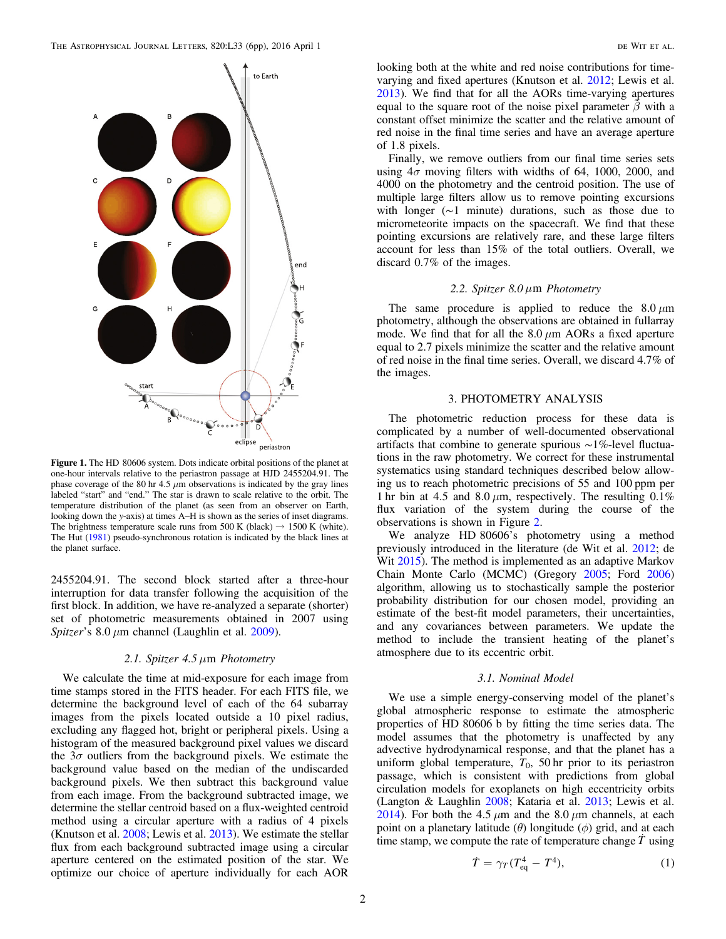<span id="page-1-0"></span>

Figure 1. The HD 80606 system. Dots indicate orbital positions of the planet at one-hour intervals relative to the periastron passage at HJD 2455204.91. The phase coverage of the 80 hr 4.5  $\mu$ m observations is indicated by the gray lines labeled "start" and "end." The star is drawn to scale relative to the orbit. The temperature distribution of the planet (as seen from an observer on Earth, looking down the y-axis) at times A–H is shown as the series of inset diagrams. The brightness temperature scale runs from 500 K (black)  $\rightarrow$  1500 K (white). The Hut ([1981](#page-5-22)) pseudo-synchronous rotation is indicated by the black lines at the planet surface.

2455204.91. The second block started after a three-hour interruption for data transfer following the acquisition of the first block. In addition, we have re-analyzed a separate (shorter) set of photometric measurements obtained in 2007 using Spitzer's  $8.0 \mu m$  channel (Laughlin et al. [2009](#page-5-8)).

# 2.1. Spitzer 4.5  $\mu$ m Photometry

We calculate the time at mid-exposure for each image from time stamps stored in the FITS header. For each FITS file, we determine the background level of each of the 64 subarray images from the pixels located outside a 10 pixel radius, excluding any flagged hot, bright or peripheral pixels. Using a histogram of the measured background pixel values we discard the  $3\sigma$  outliers from the background pixels. We estimate the background value based on the median of the undiscarded background pixels. We then subtract this background value from each image. From the background subtracted image, we determine the stellar centroid based on a flux-weighted centroid method using a circular aperture with a radius of 4 pixels (Knutson et al. [2008](#page-5-12); Lewis et al. [2013](#page-5-13)). We estimate the stellar flux from each background subtracted image using a circular aperture centered on the estimated position of the star. We optimize our choice of aperture individually for each AOR

looking both at the white and red noise contributions for timevarying and fixed apertures (Knutson et al. [2012](#page-5-14); Lewis et al. [2013](#page-5-13)). We find that for all the AORs time-varying apertures equal to the square root of the noise pixel parameter  $\tilde{\beta}$  with a constant offset minimize the scatter and the relative amount of red noise in the final time series and have an average aperture of 1.8 pixels.

Finally, we remove outliers from our final time series sets using  $4\sigma$  moving filters with widths of 64, 1000, 2000, and 4000 on the photometry and the centroid position. The use of multiple large filters allow us to remove pointing excursions with longer (∼1 minute) durations, such as those due to micrometeorite impacts on the spacecraft. We find that these pointing excursions are relatively rare, and these large filters account for less than 15% of the total outliers. Overall, we discard 0.7% of the images.

### 2.2. Spitzer 8.0  $\mu$ m Photometry

The same procedure is applied to reduce the  $8.0 \mu m$ photometry, although the observations are obtained in fullarray mode. We find that for all the  $8.0 \mu m$  AORs a fixed aperture equal to 2.7 pixels minimize the scatter and the relative amount of red noise in the final time series. Overall, we discard 4.7% of the images.

# 3. PHOTOMETRY ANALYSIS

The photometric reduction process for these data is complicated by a number of well-documented observational artifacts that combine to generate spurious ∼1%-level fluctuations in the raw photometry. We correct for these instrumental systematics using standard techniques described below allowing us to reach photometric precisions of 55 and 100 ppm per 1 hr bin at 4.5 and 8.0  $\mu$ m, respectively. The resulting 0.1% flux variation of the system during the course of the observations is shown in Figure [2](#page-2-0).

We analyze HD 80606's photometry using a method previously introduced in the literature (de Wit et al. [2012](#page-5-15); de Wit [2015](#page-5-16)). The method is implemented as an adaptive Markov Chain Monte Carlo (MCMC) (Gregory [2005;](#page-5-17) Ford [2006](#page-5-18)) algorithm, allowing us to stochastically sample the posterior probability distribution for our chosen model, providing an estimate of the best-fit model parameters, their uncertainties, and any covariances between parameters. We update the method to include the transient heating of the planet's atmosphere due to its eccentric orbit.

### 3.1. Nominal Model

<span id="page-1-1"></span>We use a simple energy-conserving model of the planet's global atmospheric response to estimate the atmospheric properties of HD 80606 b by fitting the time series data. The model assumes that the photometry is unaffected by any advective hydrodynamical response, and that the planet has a uniform global temperature,  $T_0$ , 50 hr prior to its periastron passage, which is consistent with predictions from global circulation models for exoplanets on high eccentricity orbits (Langton & Laughlin [2008](#page-5-19); Kataria et al. [2013;](#page-5-20) Lewis et al. [2014](#page-5-21)). For both the 4.5  $\mu$ m and the 8.0  $\mu$ m channels, at each point on a planetary latitude  $(\theta)$  longitude  $(\phi)$  grid, and at each time stamp, we compute the rate of temperature change  $\ddot{T}$  using

$$
\dot{T} = \gamma_T (T_{\text{eq}}^4 - T^4),\tag{1}
$$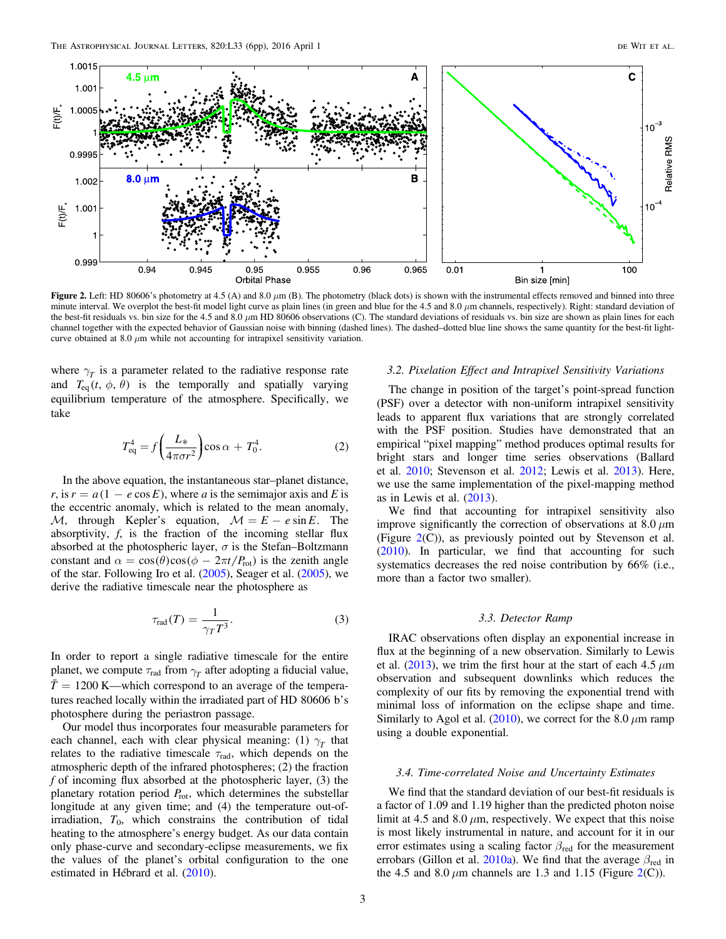<span id="page-2-0"></span>

Figure 2. Left: HD 80606's photometry at 4.5 (A) and 8.0  $\mu$ m (B). The photometry (black dots) is shown with the instrumental effects removed and binned into three minute interval. We overplot the best-fit model light curve as plain lines (in green and blue for the 4.5 and 8.0  $\mu$ m channels, respectively). Right: standard deviation of the best-fit residuals vs. bin size for the 4.5 and 8.0  $\mu$ m HD 80606 observations (C). The standard deviations of residuals vs. bin size are shown as plain lines for each channel together with the expected behavior of Gaussian noise with binning (dashed lines). The dashed–dotted blue line shows the same quantity for the best-fit lightcurve obtained at 8.0  $\mu$ m while not accounting for intrapixel sensitivity variation.

where  $\gamma$ <sup>*g*</sup> is a parameter related to the radiative response rate and  $T_{eq}(t, \phi, \theta)$  is the temporally and spatially varying equilibrium temperature of the atmosphere. Specifically, we take

$$
T_{\text{eq}}^4 = f\left(\frac{L_*}{4\pi\sigma r^2}\right)\cos\alpha + T_0^4. \tag{2}
$$

In the above equation, the instantaneous star–planet distance,  $r$ , is  $r = a(1 - e \cos E)$ , where a is the semimajor axis and E is the eccentric anomaly, which is related to the mean anomaly,  $M$ , through Kepler's equation,  $M = E - e \sin E$ . The absorptivity,  $f$ , is the fraction of the incoming stellar flux absorbed at the photospheric layer,  $\sigma$  is the Stefan–Boltzmann constant and  $\alpha = \cos(\theta)\cos(\phi - 2\pi t/P_{\text{rot}})$  is the zenith angle of the star. Following Iro et al. ([2005](#page-5-23)), Seager et al. ([2005](#page-5-24)), we derive the radiative timescale near the photosphere as

$$
\tau_{\text{rad}}(T) = \frac{1}{\gamma_T T^3}.\tag{3}
$$

In order to report a single radiative timescale for the entire planet, we compute  $\tau_{rad}$  from  $\gamma_T$  after adopting a fiducial value,  $\bar{T}$  = 1200 K—which correspond to an average of the temperatures reached locally within the irradiated part of HD 80606 b's photosphere during the periastron passage.

Our model thus incorporates four measurable parameters for each channel, each with clear physical meaning: (1)  $\gamma$ <sup>r</sup> that relates to the radiative timescale  $\tau_{rad}$ , which depends on the atmospheric depth of the infrared photospheres; (2) the fraction  $f$  of incoming flux absorbed at the photospheric layer, (3) the planetary rotation period  $P_{\text{rot}}$ , which determines the substellar longitude at any given time; and (4) the temperature out-ofirradiation,  $T_0$ , which constrains the contribution of tidal heating to the atmosphere's energy budget. As our data contain only phase-curve and secondary-eclipse measurements, we fix the values of the planet's orbital configuration to the one estimated in Hébrard et al. ([2010](#page-5-25)).

## 3.2. Pixelation Effect and Intrapixel Sensitivity Variations

The change in position of the target's point-spread function (PSF) over a detector with non-uniform intrapixel sensitivity leads to apparent flux variations that are strongly correlated with the PSF position. Studies have demonstrated that an empirical "pixel mapping" method produces optimal results for bright stars and longer time series observations (Ballard et al. [2010](#page-4-3); Stevenson et al. [2012](#page-5-26); Lewis et al. [2013](#page-5-13)). Here, we use the same implementation of the pixel-mapping method as in Lewis et al. ([2013](#page-5-13)).

We find that accounting for intrapixel sensitivity also improve significantly the correction of observations at  $8.0 \mu m$ (Figure  $2(C)$  $2(C)$ ), as previously pointed out by Stevenson et al. ([2010](#page-5-27)). In particular, we find that accounting for such systematics decreases the red noise contribution by 66% (i.e., more than a factor two smaller).

### 3.3. Detector Ramp

IRAC observations often display an exponential increase in flux at the beginning of a new observation. Similarly to Lewis et al.  $(2013)$  $(2013)$  $(2013)$ , we trim the first hour at the start of each 4.5  $\mu$ m observation and subsequent downlinks which reduces the complexity of our fits by removing the exponential trend with minimal loss of information on the eclipse shape and time. Similarly to Agol et al. ([2010](#page-4-4)), we correct for the 8.0  $\mu$ m ramp using a double exponential.

#### 3.4. Time-correlated Noise and Uncertainty Estimates

We find that the standard deviation of our best-fit residuals is a factor of 1.09 and 1.19 higher than the predicted photon noise limit at 4.5 and 8.0  $\mu$ m, respectively. We expect that this noise is most likely instrumental in nature, and account for it in our error estimates using a scaling factor  $\beta_{\text{red}}$  for the measurement errobars (Gillon et al. [2010a](#page-5-28)). We find that the average  $\beta_{\text{red}}$  in the 4.5 and 8.0  $\mu$ m channels are 1.3 and 1.15 (Figure [2](#page-2-0)(C)).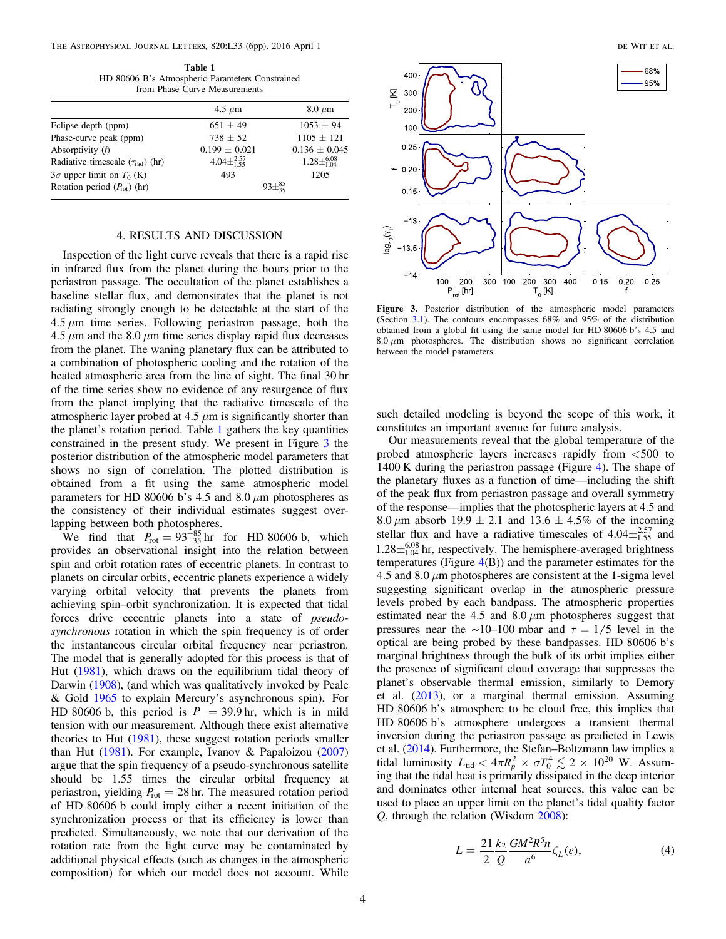<span id="page-3-0"></span>The Astrophysical Journal Letters, 820:L33 (6pp), 2016 April 1 de Wit et al.

Table 1 HD 80606 B's Atmospheric Parameters Constrained from Phase Curve Measurements

| $8.0 \mu m$               |  |
|---------------------------|--|
| $1053 + 94$               |  |
| $1105 + 121$              |  |
| $0.136 \pm 0.045$         |  |
| $1.28 \pm ^{6.08}_{1.04}$ |  |
| 1205                      |  |
| $93\pm^{85}_{35}$         |  |
|                           |  |

## 4. RESULTS AND DISCUSSION

Inspection of the light curve reveals that there is a rapid rise in infrared flux from the planet during the hours prior to the periastron passage. The occultation of the planet establishes a baseline stellar flux, and demonstrates that the planet is not radiating strongly enough to be detectable at the start of the  $4.5 \mu m$  time series. Following periastron passage, both the  $4.5 \mu$ m and the 8.0  $\mu$ m time series display rapid flux decreases from the planet. The waning planetary flux can be attributed to a combination of photospheric cooling and the rotation of the heated atmospheric area from the line of sight. The final 30 hr of the time series show no evidence of any resurgence of flux from the planet implying that the radiative timescale of the atmospheric layer probed at 4.5  $\mu$ m is significantly shorter than the planet's rotation period. Table [1](#page-3-0) gathers the key quantities constrained in the present study. We present in Figure [3](#page-3-1) the posterior distribution of the atmospheric model parameters that shows no sign of correlation. The plotted distribution is obtained from a fit using the same atmospheric model parameters for HD 80606 b's 4.5 and 8.0  $\mu$ m photospheres as the consistency of their individual estimates suggest overlapping between both photospheres.

We find that  $P_{\text{rot}} = 93^{+85}_{-35} \text{ hr}$  for HD 80606 b, which provides an observational insight into the relation between spin and orbit rotation rates of eccentric planets. In contrast to planets on circular orbits, eccentric planets experience a widely varying orbital velocity that prevents the planets from achieving spin–orbit synchronization. It is expected that tidal forces drive eccentric planets into a state of pseudosynchronous rotation in which the spin frequency is of order the instantaneous circular orbital frequency near periastron. The model that is generally adopted for this process is that of Hut ([1981](#page-5-22)), which draws on the equilibrium tidal theory of Darwin ([1908](#page-4-5)), (and which was qualitatively invoked by Peale & Gold [1965](#page-5-29) to explain Mercury's asynchronous spin). For HD 80606 b, this period is  $P = 39.9$  hr, which is in mild tension with our measurement. Although there exist alternative theories to Hut ([1981](#page-5-22)), these suggest rotation periods smaller than Hut ([1981](#page-5-22)). For example, Ivanov & Papaloizou ([2007](#page-5-30)) argue that the spin frequency of a pseudo-synchronous satellite should be 1.55 times the circular orbital frequency at periastron, yielding  $P_{\text{rot}} = 28$  hr. The measured rotation period of HD 80606 b could imply either a recent initiation of the synchronization process or that its efficiency is lower than predicted. Simultaneously, we note that our derivation of the rotation rate from the light curve may be contaminated by additional physical effects (such as changes in the atmospheric composition) for which our model does not account. While

<span id="page-3-1"></span>

Figure 3. Posterior distribution of the atmospheric model parameters (Section [3.1](#page-1-1)). The contours encompasses 68% and 95% of the distribution obtained from a global fit using the same model for HD 80606 b's 4.5 and  $8.0 \mu m$  photospheres. The distribution shows no significant correlation between the model parameters.

such detailed modeling is beyond the scope of this work, it constitutes an important avenue for future analysis.

Our measurements reveal that the global temperature of the probed atmospheric layers increases rapidly from <500 to 1400 K during the periastron passage (Figure [4](#page-4-6)). The shape of the planetary fluxes as a function of time—including the shift of the peak flux from periastron passage and overall symmetry of the response—implies that the photospheric layers at 4.5 and 8.0  $\mu$ m absorb 19.9  $\pm$  2.1 and 13.6  $\pm$  4.5% of the incoming stellar flux and have a radiative timescales of  $4.04 \pm_{1.55}^{2.57}$  and  $1.28\pm_{1.04}^{6.08}$  hr, respectively. The hemisphere-averaged brightness temperatures (Figure  $4(B)$  $4(B)$ ) and the parameter estimates for the 4.5 and 8.0  $\mu$ m photospheres are consistent at the 1-sigma level suggesting significant overlap in the atmospheric pressure levels probed by each bandpass. The atmospheric properties estimated near the 4.5 and 8.0  $\mu$ m photospheres suggest that pressures near the ∼10–100 mbar and  $\tau = 1/5$  level in the optical are being probed by these bandpasses. HD 80606 b's marginal brightness through the bulk of its orbit implies either the presence of significant cloud coverage that suppresses the planet's observable thermal emission, similarly to Demory et al. ([2013](#page-4-7)), or a marginal thermal emission. Assuming HD 80606 b's atmosphere to be cloud free, this implies that HD 80606 b's atmosphere undergoes a transient thermal inversion during the periastron passage as predicted in Lewis et al. ([2014](#page-5-21)). Furthermore, the Stefan–Boltzmann law implies a tidal luminosity  $L_{\text{tid}} < 4\pi R_p^2 \times \sigma T_0^4 \lesssim 2 \times 10^{20}$  W. Assuming that the tidal heat is primarily dissipated in the deep interior and dominates other internal heat sources, this value can be used to place an upper limit on the planet's tidal quality factor Q, through the relation (Wisdom [2008](#page-5-31)):

$$
L = \frac{21}{2} \frac{k_2}{Q} \frac{GM^2 R^5 n}{a^6} \zeta_L(e),\tag{4}
$$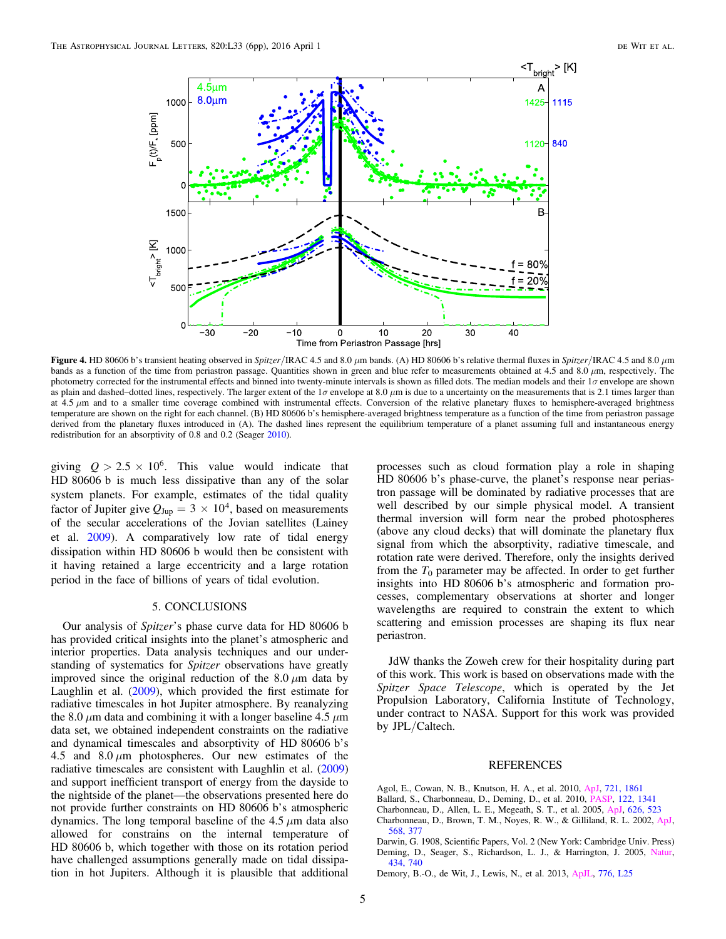<span id="page-4-6"></span>

Figure 4. HD 80606 b's transient heating observed in Spitzer/IRAC 4.5 and 8.0 μm bands. (A) HD 80606 b's relative thermal fluxes in Spitzer/IRAC 4.5 and 8.0 μm bands as a function of the time from periastron passage. Quantities shown in green and blue refer to measurements obtained at 4.5 and 8.0  $\mu$ m, respectively. The photometry corrected for the instrumental effects and binned into twenty-minute intervals is shown as filled dots. The median models and their  $1\sigma$  envelope are shown as plain and dashed–dotted lines, respectively. The larger extent of the  $1\sigma$  envelope at 8.0  $\mu$ m is due to a uncertainty on the measurements that is 2.1 times larger than at 4.5  $\mu$ m and to a smaller time coverage combined with instrumental effects. Conversion of the relative planetary fluxes to hemisphere-averaged brightness temperature are shown on the right for each channel. (B) HD 80606 b's hemisphere-averaged brightness temperature as a function of the time from periastron passage derived from the planetary fluxes introduced in (A). The dashed lines represent the equilibrium temperature of a planet assuming full and instantaneous energy redistribution for an absorptivity of 0.8 and 0.2 (Seager [2010](#page-5-33)).

giving  $Q > 2.5 \times 10^6$ . This value would indicate that HD 80606 b is much less dissipative than any of the solar system planets. For example, estimates of the tidal quality factor of Jupiter give  $Q_{\text{Jup}} = 3 \times 10^4$ , based on measurements of the secular accelerations of the Jovian satellites (Lainey et al. [2009](#page-5-32)). A comparatively low rate of tidal energy dissipation within HD 80606 b would then be consistent with it having retained a large eccentricity and a large rotation period in the face of billions of years of tidal evolution.

### 5. CONCLUSIONS

Our analysis of Spitzer's phase curve data for HD 80606 b has provided critical insights into the planet's atmospheric and interior properties. Data analysis techniques and our understanding of systematics for Spitzer observations have greatly improved since the original reduction of the  $8.0 \mu m$  data by Laughlin et al. ([2009](#page-5-8)), which provided the first estimate for radiative timescales in hot Jupiter atmosphere. By reanalyzing the 8.0  $\mu$ m data and combining it with a longer baseline 4.5  $\mu$ m data set, we obtained independent constraints on the radiative and dynamical timescales and absorptivity of HD 80606 b's 4.5 and  $8.0 \mu m$  photospheres. Our new estimates of the radiative timescales are consistent with Laughlin et al. ([2009](#page-5-8)) and support inefficient transport of energy from the dayside to the nightside of the planet—the observations presented here do not provide further constraints on HD 80606 b's atmospheric dynamics. The long temporal baseline of the 4.5  $\mu$ m data also allowed for constrains on the internal temperature of HD 80606 b, which together with those on its rotation period have challenged assumptions generally made on tidal dissipation in hot Jupiters. Although it is plausible that additional

processes such as cloud formation play a role in shaping HD 80606 b's phase-curve, the planet's response near periastron passage will be dominated by radiative processes that are well described by our simple physical model. A transient thermal inversion will form near the probed photospheres (above any cloud decks) that will dominate the planetary flux signal from which the absorptivity, radiative timescale, and rotation rate were derived. Therefore, only the insights derived from the  $T_0$  parameter may be affected. In order to get further insights into HD 80606 b's atmospheric and formation processes, complementary observations at shorter and longer wavelengths are required to constrain the extent to which scattering and emission processes are shaping its flux near periastron.

JdW thanks the Zoweh crew for their hospitality during part of this work. This work is based on observations made with the Spitzer Space Telescope, which is operated by the Jet Propulsion Laboratory, California Institute of Technology, under contract to NASA. Support for this work was provided by JPL/Caltech.

### REFERENCES

- <span id="page-4-4"></span>Agol, E., Cowan, N. B., Knutson, H. A., et al. 2010, [ApJ,](http://dx.doi.org/10.1088/0004-637X/721/2/1861) [721, 1861](http://adsabs.harvard.edu/abs/2010ApJ...721.1861A)
- <span id="page-4-3"></span>Ballard, S., Charbonneau, D., Deming, D., et al. 2010, [PASP,](http://dx.doi.org/10.1086/657159) [122, 1341](http://adsabs.harvard.edu/abs/2010PASP..122.1341B)
- <span id="page-4-1"></span>Charbonneau, D., Allen, L. E., Megeath, S. T., et al. 2005, [ApJ](http://dx.doi.org/10.1086/429991), [626, 523](http://adsabs.harvard.edu/abs/2005ApJ...626..523C)
- <span id="page-4-0"></span>Charbonneau, D., Brown, T. M., Noyes, R. W., & Gilliland, R. L. 2002, [ApJ](http://dx.doi.org/10.1086/338770)[,](http://adsabs.harvard.edu/abs/2002ApJ...568..377C) [568, 377](http://adsabs.harvard.edu/abs/2002ApJ...568..377C)
- <span id="page-4-5"></span><span id="page-4-2"></span>Darwin, G. 1908, Scientific Papers, Vol. 2 (New York: Cambridge Univ. Press) Deming, D., Seager, S., Richardson, L. J., & Harrington, J. 2005, [Natur](http://dx.doi.org/10.1038/nature03507)[,](http://adsabs.harvard.edu/abs/2005Natur.434..740D) [434, 740](http://adsabs.harvard.edu/abs/2005Natur.434..740D)
- <span id="page-4-7"></span>Demory, B.-O., de Wit, J., Lewis, N., et al. 2013, [ApJL](http://dx.doi.org/10.1088/2041-8205/776/2/L25), [776, L25](http://adsabs.harvard.edu/abs/2013ApJ...776L..25D)